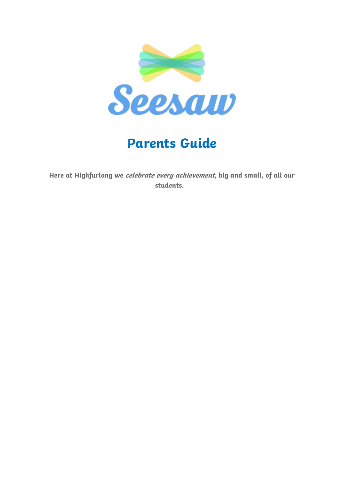

# **Parents Guide**

**Here at Highfurlong we celebrate every achievement, big and small, of all our students.**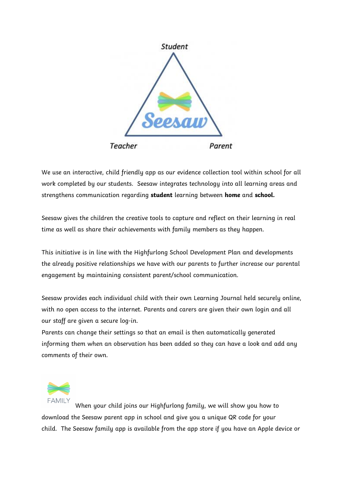

We use an interactive, child friendly app as our evidence collection tool within school for all work completed by our students. Seesaw integrates technology into all learning areas and strengthens communication regarding **student** learning between **home** and **school.**

Seesaw gives the children the creative tools to capture and reflect on their learning in real time as well as share their achievements with family members as they happen.

This initiative is in line with the Highfurlong School Development Plan and developments the already positive relationships we have with our parents to further increase our parental engagement by maintaining consistent parent/school communication.

Seesaw provides each individual child with their own Learning Journal held securely online, with no open access to the internet. Parents and carers are given their own login and all our staff are given a secure log-in.

Parents can change their settings so that an email is then automatically generated informing them when an observation has been added so they can have a look and add any comments of their own.



When your child joins our Highfurlong family, we will show you how to download the Seesaw parent app in school and give you a unique QR code for your child. The Seesaw family app is available from the app store if you have an Apple device or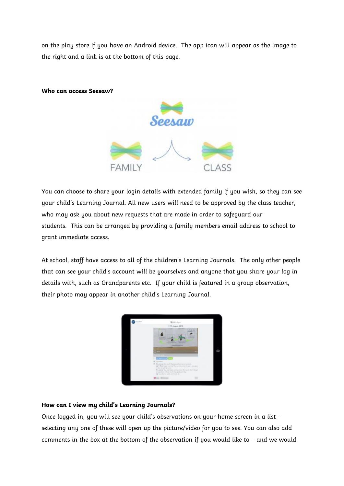on the play store if you have an Android device. The app icon will appear as the image to the right and a link is at the bottom of this page.

**Who can access Seesaw?**



You can choose to share your login details with extended family if you wish, so they can see your child's Learning Journal. All new users will need to be approved by the class teacher, who may ask you about new requests that are made in order to safeguard our students. This can be arranged by providing a family members email address to school to grant immediate access.

At school, staff have access to all of the children's Learning Journals. The only other people that can see your child's account will be yourselves and anyone that you share your log in details with, such as Grandparents etc. If your child is featured in a group observation, their photo may appear in another child's Learning Journal.



#### **How can I view my child's Learning Journals?**

Once logged in, you will see your child's observations on your home screen in a list – selecting any one of these will open up the picture/video for you to see. You can also add comments in the box at the bottom of the observation if you would like to – and we would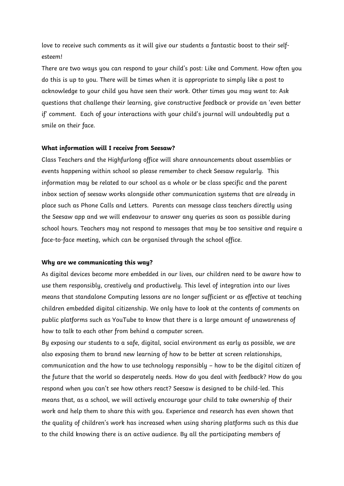love to receive such comments as it will give our students a fantastic boost to their selfesteem!

There are two ways you can respond to your child's post: Like and Comment. How often you do this is up to you. There will be times when it is appropriate to simply like a post to acknowledge to your child you have seen their work. Other times you may want to: Ask questions that challenge their learning, give constructive feedback or provide an 'even better if' comment. Each of your interactions with your child's journal will undoubtedly put a smile on their face.

#### **What information will I receive from Seesaw?**

Class Teachers and the Highfurlong office will share announcements about assemblies or events happening within school so please remember to check Seesaw regularly. This information may be related to our school as a whole or be class specific and the parent inbox section of seesaw works alongside other communication systems that are already in place such as Phone Calls and Letters. Parents can message class teachers directly using the Seesaw app and we will endeavour to answer any queries as soon as possible during school hours. Teachers may not respond to messages that may be too sensitive and require a face-to-face meeting, which can be organised through the school office.

#### **Why are we communicating this way?**

As digital devices become more embedded in our lives, our children need to be aware how to use them responsibly, creatively and productively. This level of integration into our lives means that standalone Computing lessons are no longer sufficient or as effective at teaching children embedded digital citizenship. We only have to look at the contents of comments on public platforms such as YouTube to know that there is a large amount of unawareness of how to talk to each other from behind a computer screen.

By exposing our students to a safe, digital, social environment as early as possible, we are also exposing them to brand new learning of how to be better at screen relationships, communication and the how to use technology responsibly – how to be the digital citizen of the future that the world so desperately needs. How do you deal with feedback? How do you respond when you can't see how others react? Seesaw is designed to be child-led. This means that, as a school, we will actively encourage your child to take ownership of their work and help them to share this with you. Experience and research has even shown that the quality of children's work has increased when using sharing platforms such as this due to the child knowing there is an active audience. By all the participating members of